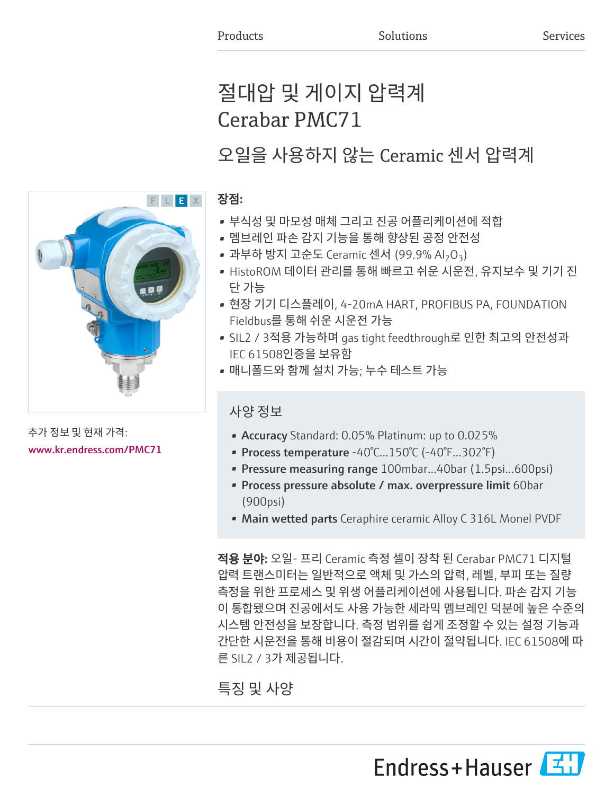# 절대압 및 게이지 압력계 Cerabar PMC71

오일을 사용하지 않는 Ceramic 센서 압력계

# 장점:

- 부식성 및 마모성 매체 그리고 진공 어플리케이션에 적합
- 멤브레인 파손 감지 기능을 통해 향상된 공정 안전성
- 과부하 방지 고순도 Ceramic 센서 (99.9% Al<sub>2</sub>O<sub>3</sub>)
- HistoROM 데이터 관리를 통해 빠르고 쉬운 시운전, 유지보수 및 기기 진 단 가능
- 현장 기기 디스플레이, 4-20mA HART, PROFIBUS PA, FOUNDATION Fieldbus를 통해 쉬운 시운전 가능
- SIL2 / 3적용 가능하며 gas tight feedthrough로 인한 최고의 안전성과 IEC 61508인증을 보유함
- 매니폴드와 함께 설치 가능; 누수 테스트 가능

# 사양 정보

- Accuracy Standard: 0.05% Platinum: up to 0.025%
- Process temperature -40°C...150°C (-40°F...302°F)
- Pressure measuring range 100mbar...40bar (1.5psi...600psi)
- Process pressure absolute / max. overpressure limit 60bar (900psi)
- Main wetted parts Ceraphire ceramic Alloy C 316L Monel PVDF

적용 분야: 오일- 프리 Ceramic 측정 셀이 장착 된 Cerabar PMC71 디지털 압력 트랜스미터는 일반적으로 액체 및 가스의 압력, 레벨, 부피 또는 질량 측정을 위한 프로세스 및 위생 어플리케이션에 사용됩니다. 파손 감지 기능 이 통합됐으며 진공에서도 사용 가능한 세라믹 멤브레인 덕분에 높은 수준의 시스템 안전성을 보장합니다. 측정 범위를 쉽게 조정할 수 있는 설정 기능과 간단한 시운전을 통해 비용이 절감되며 시간이 절약됩니다. IEC 61508에 따 른 SIL2 / 3가 제공됩니다.

# 특징 및 사양

Endress+Hauser



추가 정보 및 현재 가격: [www.kr.endress.com/PMC71](https://www.kr.endress.com/PMC71)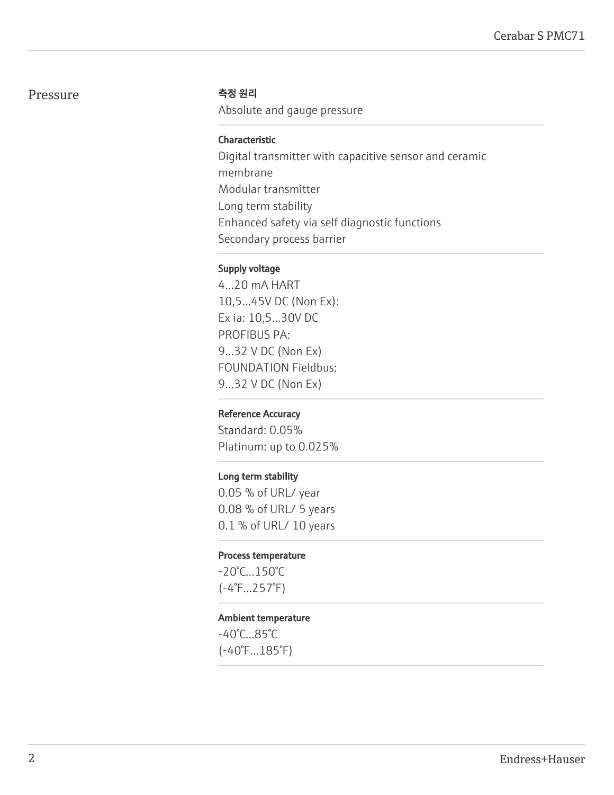# Pressure 측정 원리

Absolute and gauge pressure

#### Characteristic

Digital transmitter with capacitive sensor and ceramic membrane Modular transmitter Long term stability Enhanced safety via self diagnostic functions Secondary process barrier

#### Supply voltage

4...20 mA HART 10,5...45V DC (Non Ex): Ex ia: 10,5...30V DC PROFIBUS PA: 9...32 V DC (Non Ex) FOUNDATION Fieldbus: 9...32 V DC (Non Ex)

#### Reference Accuracy

Standard: 0.05% Platinum: up to 0.025%

#### Long term stability

0.05 % of URL/ year 0.08 % of URL/ 5 years 0.1 % of URL/ 10 years

#### Process temperature

-20°C...150°C (-4°F...257°F)

#### Ambient temperature

-40°C...85°C (-40°F...185°F)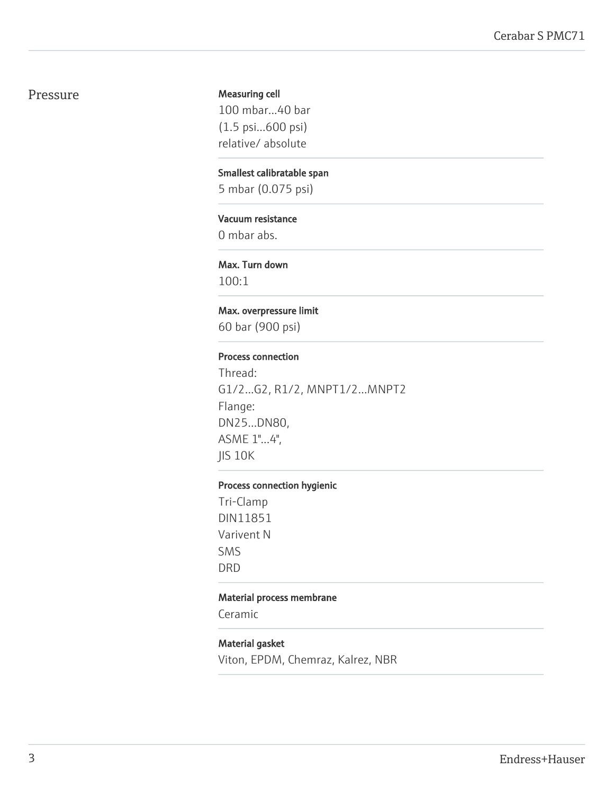#### Pressure

#### Measuring cell

100 mbar...40 bar (1.5 psi...600 psi) relative/ absolute

#### Smallest calibratable span

5 mbar (0.075 psi)

#### Vacuum resistance

0 mbar abs.

#### Max. Turn down

100:1

#### Max. overpressure limit

60 bar (900 psi)

#### Process connection

Thread: G1/2...G2, R1/2, MNPT1/2...MNPT2 Flange: DN25...DN80, ASME 1"...4", JIS 10K

#### Process connection hygienic

Tri-Clamp DIN11851 Varivent N SMS DRD

#### Material process membrane

Ceramic

#### Material gasket

Viton, EPDM, Chemraz, Kalrez, NBR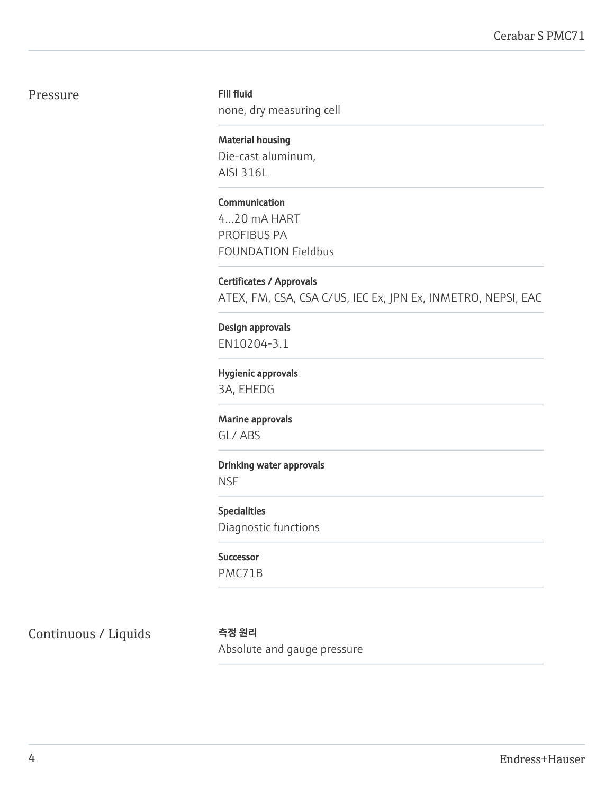# Pressure

#### Fill fluid

none, dry measuring cell

Material housing Die-cast aluminum, AISI 316L

Communication 4...20 mA HART PROFIBUS PA FOUNDATION Fieldbus

Certificates / Approvals ATEX, FM, CSA, CSA C/US, IEC Ex, JPN Ex, INMETRO, NEPSI, EAC

Design approvals EN10204-3.1

Hygienic approvals 3A, EHEDG

Marine approvals GL/ ABS

Drinking water approvals

**NSF** 

Specialities Diagnostic functions

Successor PMC71B

Continuous / Liquids 측정 원리

Absolute and gauge pressure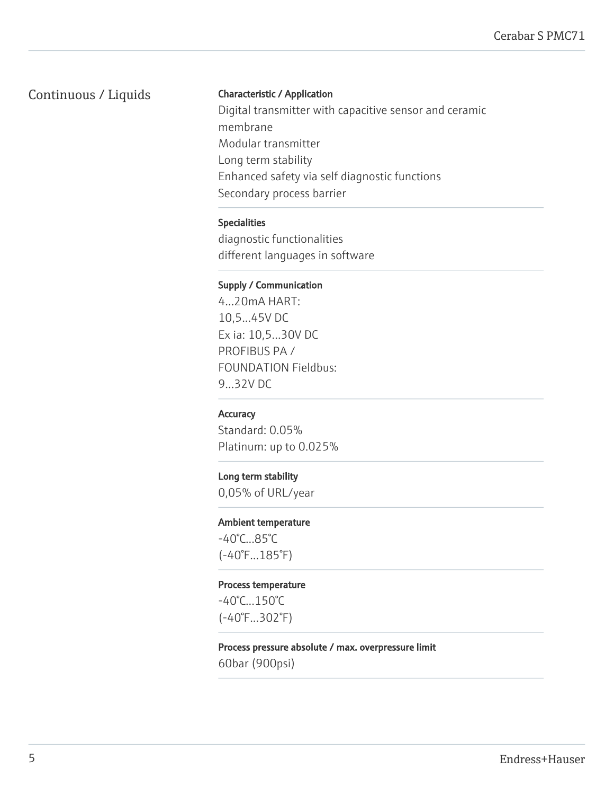# Continuous / Liquids

#### Characteristic / Application

Digital transmitter with capacitive sensor and ceramic membrane Modular transmitter Long term stability Enhanced safety via self diagnostic functions Secondary process barrier

#### Specialities

diagnostic functionalities different languages in software

#### Supply / Communication

4...20mA HART: 10,5...45V DC Ex ia: 10,5...30V DC PROFIBUS PA / FOUNDATION Fieldbus: 9...32V DC

#### **Accuracy**

Standard: 0.05% Platinum: up to 0.025%

#### Long term stability

0,05% of URL/year

#### Ambient temperature

-40°C...85°C (-40°F...185°F)

#### Process temperature

-40°C...150°C (-40°F...302°F)

# Process pressure absolute / max. overpressure limit

60bar (900psi)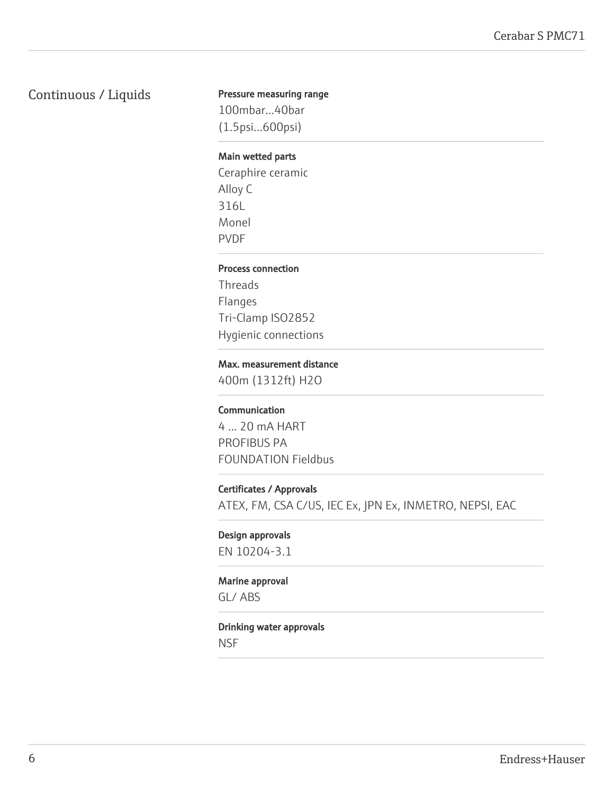# Continuous / Liquids

#### Pressure measuring range

100mbar...40bar (1.5psi...600psi)

#### Main wetted parts

Ceraphire ceramic Alloy C 316L Monel PVDF

#### Process connection

Threads Flanges Tri-Clamp ISO2852 Hygienic connections

#### Max. measurement distance

400m (1312ft) H2O

#### Communication

4 ... 20 mA HART PROFIBUS PA FOUNDATION Fieldbus

#### Certificates / Approvals

ATEX, FM, CSA C/US, IEC Ex, JPN Ex, INMETRO, NEPSI, EAC

#### Design approvals

EN 10204-3.1

#### Marine approval

GL/ ABS

#### Drinking water approvals

**NSF**